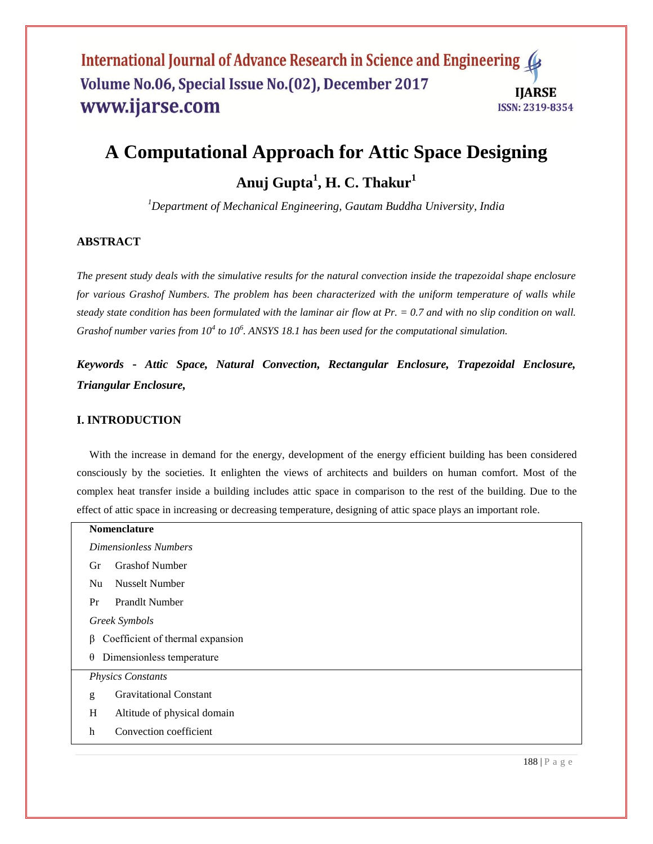# **A Computational Approach for Attic Space Designing Anuj Gupta<sup>1</sup> , H. C. Thakur<sup>1</sup>**

*<sup>1</sup>Department of Mechanical Engineering, Gautam Buddha University, India*

#### **ABSTRACT**

*The present study deals with the simulative results for the natural convection inside the trapezoidal shape enclosure for various Grashof Numbers. The problem has been characterized with the uniform temperature of walls while steady state condition has been formulated with the laminar air flow at Pr. = 0.7 and with no slip condition on wall. Grashof number varies from 10<sup>4</sup> to 10<sup>6</sup> . ANSYS 18.1 has been used for the computational simulation.*

*Keywords* **-** *Attic Space, Natural Convection, Rectangular Enclosure, Trapezoidal Enclosure, Triangular Enclosure,*

#### **I. INTRODUCTION**

With the increase in demand for the energy, development of the energy efficient building has been considered consciously by the societies. It enlighten the views of architects and builders on human comfort. Most of the complex heat transfer inside a building includes attic space in comparison to the rest of the building. Due to the effect of attic space in increasing or decreasing temperature, designing of attic space plays an important role.

|                          | Nomenclature                     |                             |  |
|--------------------------|----------------------------------|-----------------------------|--|
|                          | Dimensionless Numbers            |                             |  |
| Gr                       | <b>Grashof Number</b>            |                             |  |
| Nu                       | <b>Nusselt Number</b>            |                             |  |
| Pr                       | <b>Prandlt Number</b>            |                             |  |
|                          | Greek Symbols                    |                             |  |
| β                        | Coefficient of thermal expansion |                             |  |
| $\theta$                 | Dimensionless temperature        |                             |  |
| <b>Physics Constants</b> |                                  |                             |  |
| g                        | <b>Gravitational Constant</b>    |                             |  |
| H                        | Altitude of physical domain      |                             |  |
| h                        | Convection coefficient           |                             |  |
|                          |                                  | $\sim$ $\sim$ $\sim$ $\sim$ |  |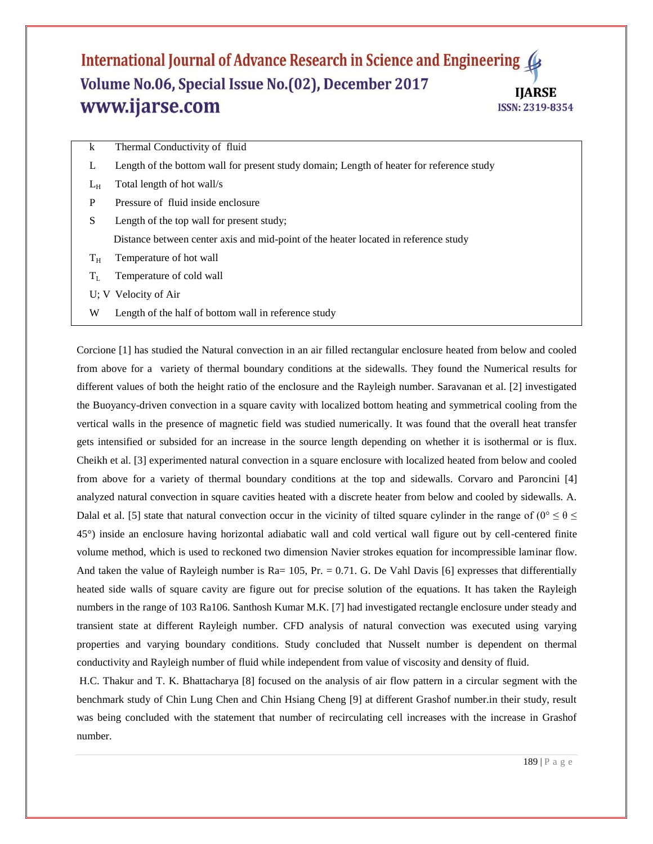- k Thermal Conductivity of fluid
- L Length of the bottom wall for present study domain; Length of heater for reference study
- $L_H$  Total length of hot wall/s
- P Pressure of fluid inside enclosure
- S Length of the top wall for present study;
	- Distance between center axis and mid-point of the heater located in reference study
- $T_H$  Temperature of hot wall
- T<sup>L</sup> Temperature of cold wall
- U; V Velocity of Air
- W Length of the half of bottom wall in reference study

Corcione [1] has studied the Natural convection in an air filled rectangular enclosure heated from below and cooled from above for a variety of thermal boundary conditions at the sidewalls. They found the Numerical results for different values of both the height ratio of the enclosure and the Rayleigh number. Saravanan et al. [2] investigated the Buoyancy-driven convection in a square cavity with localized bottom heating and symmetrical cooling from the vertical walls in the presence of magnetic field was studied numerically. It was found that the overall heat transfer gets intensified or subsided for an increase in the source length depending on whether it is isothermal or is flux. Cheikh et al. [3] experimented natural convection in a square enclosure with localized heated from below and cooled from above for a variety of thermal boundary conditions at the top and sidewalls. Corvaro and Paroncini [4] analyzed natural convection in square cavities heated with a discrete heater from below and cooled by sidewalls. A. Dalal et al. [5] state that natural convection occur in the vicinity of tilted square cylinder in the range of ( $0^{\circ} \le \theta \le$ 45°) inside an enclosure having horizontal adiabatic wall and cold vertical wall figure out by cell-centered finite volume method, which is used to reckoned two dimension Navier strokes equation for incompressible laminar flow. And taken the value of Rayleigh number is Ra=  $105$ , Pr. = 0.71. G. De Vahl Davis [6] expresses that differentially heated side walls of square cavity are figure out for precise solution of the equations. It has taken the Rayleigh numbers in the range of 103 Ra106. Santhosh Kumar M.K. [7] had investigated rectangle enclosure under steady and transient state at different Rayleigh number. CFD analysis of natural convection was executed using varying properties and varying boundary conditions. Study concluded that Nusselt number is dependent on thermal conductivity and Rayleigh number of fluid while independent from value of viscosity and density of fluid.

H.C. Thakur and T. K. Bhattacharya [8] focused on the analysis of air flow pattern in a circular segment with the benchmark study of Chin Lung Chen and Chin Hsiang Cheng [9] at different Grashof number.in their study, result was being concluded with the statement that number of recirculating cell increases with the increase in Grashof number.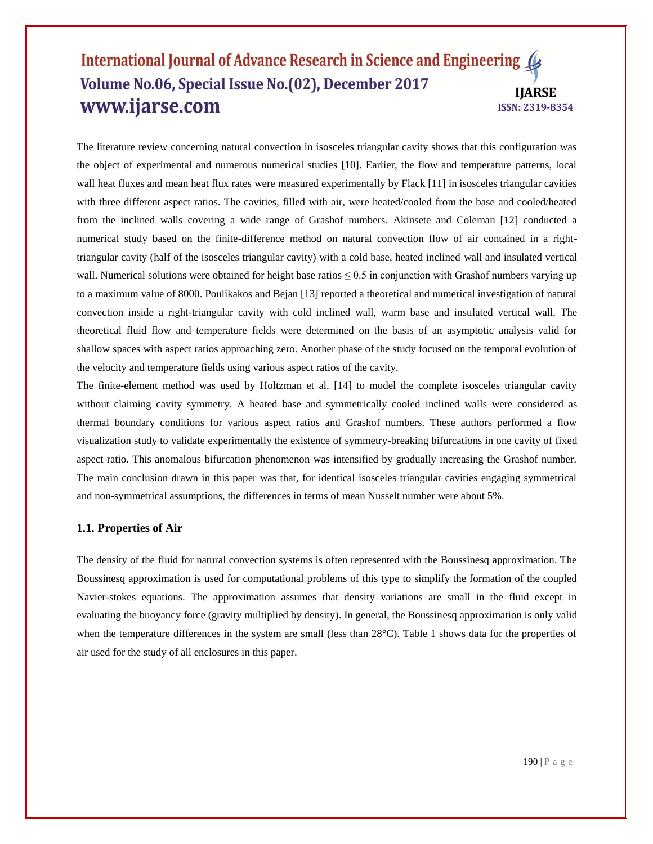The literature review concerning natural convection in isosceles triangular cavity shows that this configuration was the object of experimental and numerous numerical studies [10]. Earlier, the flow and temperature patterns, local wall heat fluxes and mean heat flux rates were measured experimentally by Flack [11] in isosceles triangular cavities with three different aspect ratios. The cavities, filled with air, were heated/cooled from the base and cooled/heated from the inclined walls covering a wide range of Grashof numbers. Akinsete and Coleman [12] conducted a numerical study based on the finite-difference method on natural convection flow of air contained in a righttriangular cavity (half of the isosceles triangular cavity) with a cold base, heated inclined wall and insulated vertical wall. Numerical solutions were obtained for height base ratios  $\leq 0.5$  in conjunction with Grashof numbers varying up to a maximum value of 8000. Poulikakos and Bejan [13] reported a theoretical and numerical investigation of natural convection inside a right-triangular cavity with cold inclined wall, warm base and insulated vertical wall. The theoretical fluid flow and temperature fields were determined on the basis of an asymptotic analysis valid for shallow spaces with aspect ratios approaching zero. Another phase of the study focused on the temporal evolution of the velocity and temperature fields using various aspect ratios of the cavity.

The finite-element method was used by Holtzman et al. [14] to model the complete isosceles triangular cavity without claiming cavity symmetry. A heated base and symmetrically cooled inclined walls were considered as thermal boundary conditions for various aspect ratios and Grashof numbers. These authors performed a flow visualization study to validate experimentally the existence of symmetry-breaking bifurcations in one cavity of fixed aspect ratio. This anomalous bifurcation phenomenon was intensified by gradually increasing the Grashof number. The main conclusion drawn in this paper was that, for identical isosceles triangular cavities engaging symmetrical and non-symmetrical assumptions, the differences in terms of mean Nusselt number were about 5%.

#### **1.1. Properties of Air**

The density of the fluid for natural convection systems is often represented with the Boussinesq approximation. The Boussinesq approximation is used for computational problems of this type to simplify the formation of the coupled Navier-stokes equations. The approximation assumes that density variations are small in the fluid except in evaluating the buoyancy force (gravity multiplied by density). In general, the Boussinesq approximation is only valid when the temperature differences in the system are small (less than 28°C). Table 1 shows data for the properties of air used for the study of all enclosures in this paper.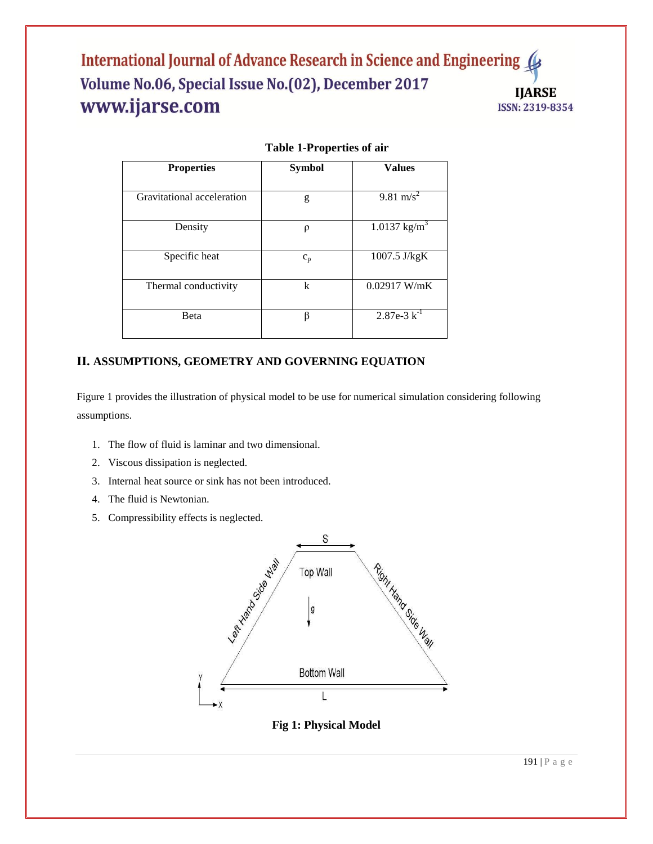| <b>Properties</b>          | <b>Symbol</b> | <b>Values</b>              |  |
|----------------------------|---------------|----------------------------|--|
| Gravitational acceleration | g             | 9.81 m/s <sup>2</sup>      |  |
| Density                    | ρ             | $1.0137$ kg/m <sup>3</sup> |  |
| Specific heat              | $c_p$         | $1007.5$ J/kgK             |  |
| Thermal conductivity       | k             | $0.02917$ W/mK             |  |
| Beta                       | ß             | 2.87e-3 $k^{-1}$           |  |

# **Table 1-Properties of air**

# **II. ASSUMPTIONS, GEOMETRY AND GOVERNING EQUATION**

Figure 1 provides the illustration of physical model to be use for numerical simulation considering following assumptions.

- 1. The flow of fluid is laminar and two dimensional.
- 2. Viscous dissipation is neglected.
- 3. Internal heat source or sink has not been introduced.
- 4. The fluid is Newtonian.
- 5. Compressibility effects is neglected.



**Fig 1: Physical Model**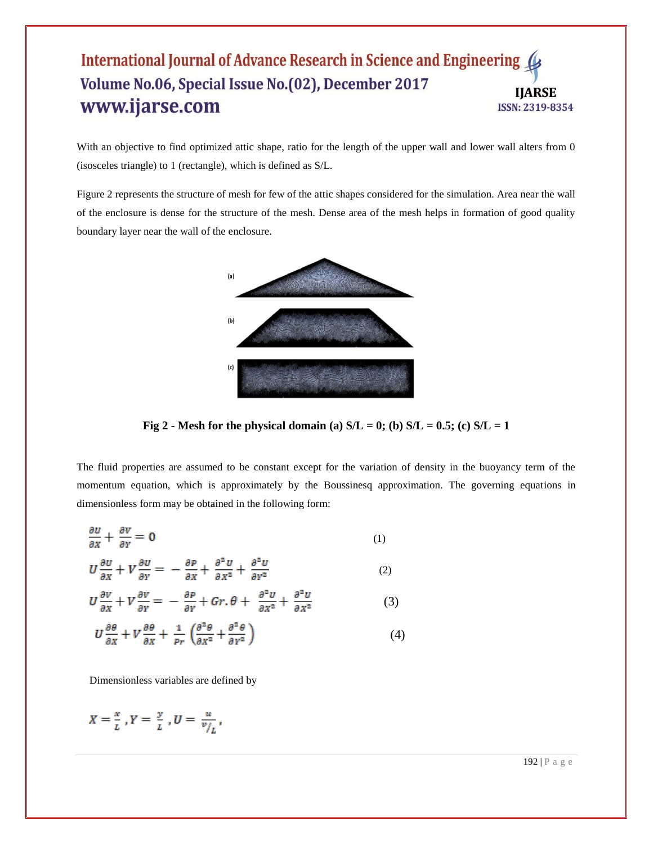With an objective to find optimized attic shape, ratio for the length of the upper wall and lower wall alters from 0 (isosceles triangle) to 1 (rectangle), which is defined as S/L.

Figure 2 represents the structure of mesh for few of the attic shapes considered for the simulation. Area near the wall of the enclosure is dense for the structure of the mesh. Dense area of the mesh helps in formation of good quality boundary layer near the wall of the enclosure.



**Fig 2 - Mesh for the physical domain (a)**  $S/L = 0$ **; (b)**  $S/L = 0.5$ **; (c)**  $S/L = 1$ 

The fluid properties are assumed to be constant except for the variation of density in the buoyancy term of the momentum equation, which is approximately by the Boussinesq approximation. The governing equations in dimensionless form may be obtained in the following form:

$$
\frac{\partial v}{\partial x} + \frac{\partial v}{\partial y} = 0 \tag{1}
$$

$$
U\frac{\partial U}{\partial x} + V\frac{\partial U}{\partial y} = -\frac{\partial P}{\partial x} + \frac{\partial^2 U}{\partial x^2} + \frac{\partial^2 U}{\partial y^2}
$$
(2)

$$
U\frac{\partial v}{\partial x} + V\frac{\partial v}{\partial y} = -\frac{\partial p}{\partial y} + Gr.\theta + \frac{\partial^2 v}{\partial x^2} + \frac{\partial^2 v}{\partial x^2}
$$
(3)

$$
U\frac{\partial\theta}{\partial x} + V\frac{\partial\theta}{\partial x} + \frac{1}{pr}\left(\frac{\partial^2\theta}{\partial x^2} + \frac{\partial^2\theta}{\partial y^2}\right) \tag{4}
$$

Dimensionless variables are defined by

$$
X = \frac{x}{L}, Y = \frac{y}{L}, U = \frac{u}{v/L}
$$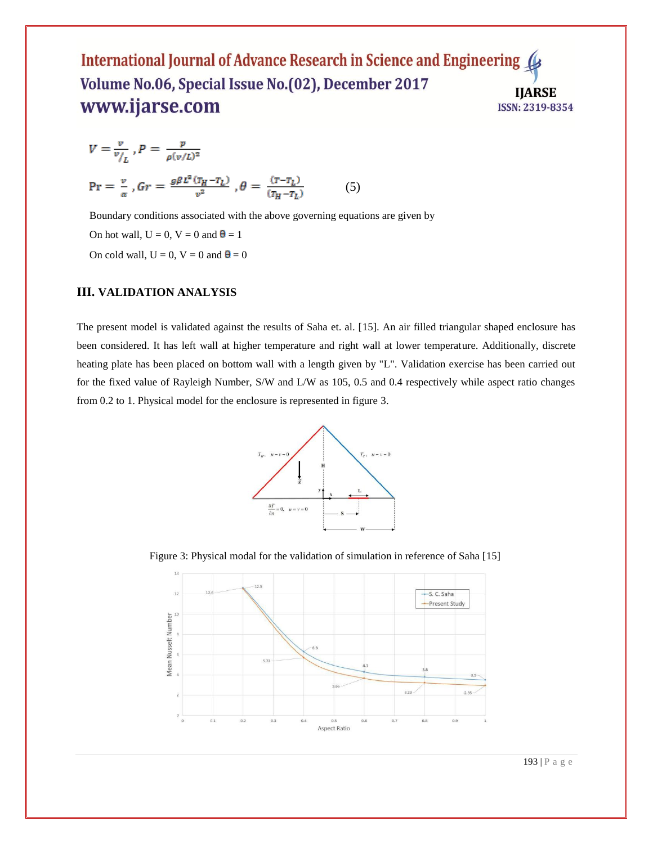$$
V = \frac{v}{v/L}, P = \frac{p}{\rho(v/L)^2}
$$
  
Pr =  $\frac{v}{\alpha}$ ,  $Gr = \frac{g\beta L^3 (T_H - T_L)}{v^2}$ ,  $\theta = \frac{(T - T_L)}{(T_H - T_L)}$  (5)

Boundary conditions associated with the above governing equations are given by

On hot wall,  $U = 0$ ,  $V = 0$  and  $\theta = 1$ 

On cold wall,  $U = 0$ ,  $V = 0$  and  $\theta = 0$ 

#### **III. VALIDATION ANALYSIS**

The present model is validated against the results of Saha et. al. [15]. An air filled triangular shaped enclosure has been considered. It has left wall at higher temperature and right wall at lower temperature. Additionally, discrete heating plate has been placed on bottom wall with a length given by "L". Validation exercise has been carried out for the fixed value of Rayleigh Number, S/W and L/W as 105, 0.5 and 0.4 respectively while aspect ratio changes from 0.2 to 1. Physical model for the enclosure is represented in figure 3.



Figure 3: Physical modal for the validation of simulation in reference of Saha [15]



193 | P a g e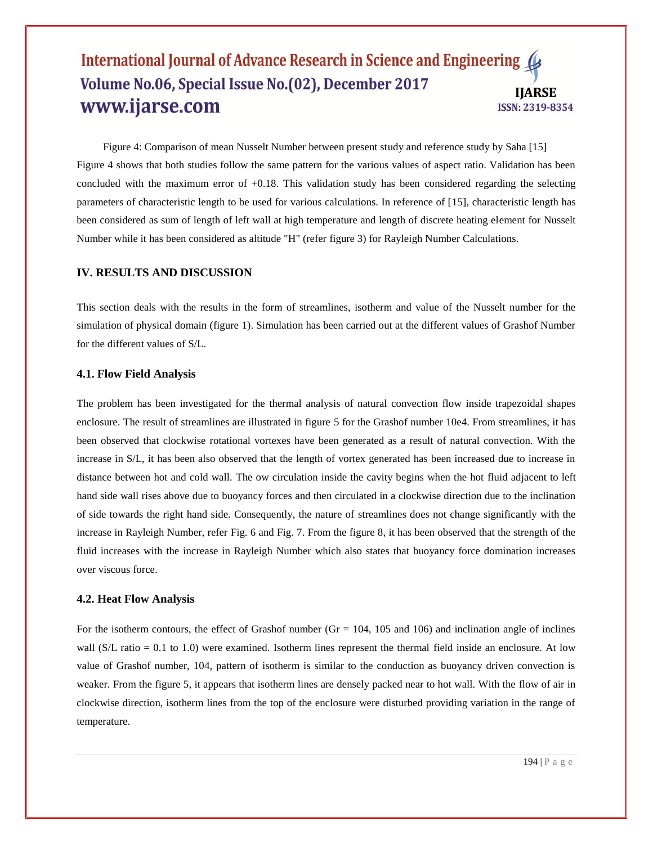Figure 4: Comparison of mean Nusselt Number between present study and reference study by Saha [15] Figure [4](#page-6-0) shows that both studies follow the same pattern for the various values of aspect ratio. Validation has been concluded with the maximum error of +0.18. This validation study has been considered regarding the selecting parameters of characteristic length to be used for various calculations. In reference of [15], characteristic length has been considered as sum of length of left wall at high temperature and length of discrete heating element for Nusselt Number while it has been considered as altitude "H" (refer figure 3) for Rayleigh Number Calculations.

## <span id="page-6-0"></span>**IV. RESULTS AND DISCUSSION**

This section deals with the results in the form of streamlines, isotherm and value of the Nusselt number for the simulation of physical domain (figure 1). Simulation has been carried out at the different values of Grashof Number for the different values of S/L.

#### **4.1. Flow Field Analysis**

The problem has been investigated for the thermal analysis of natural convection flow inside trapezoidal shapes enclosure. The result of streamlines are illustrated in figure 5 for the Grashof number 10e4. From streamlines, it has been observed that clockwise rotational vortexes have been generated as a result of natural convection. With the increase in S/L, it has been also observed that the length of vortex generated has been increased due to increase in distance between hot and cold wall. The ow circulation inside the cavity begins when the hot fluid adjacent to left hand side wall rises above due to buoyancy forces and then circulated in a clockwise direction due to the inclination of side towards the right hand side. Consequently, the nature of streamlines does not change significantly with the increase in Rayleigh Number, refer Fig. 6 and Fig. 7. From the figure 8, it has been observed that the strength of the fluid increases with the increase in Rayleigh Number which also states that buoyancy force domination increases over viscous force.

#### **4.2. Heat Flow Analysis**

For the isotherm contours, the effect of Grashof number  $(Gr = 104, 105, and 106)$  and inclination angle of inclines wall (S/L ratio = 0.1 to 1.0) were examined. Isotherm lines represent the thermal field inside an enclosure. At low value of Grashof number, 104, pattern of isotherm is similar to the conduction as buoyancy driven convection is weaker. From the figure 5, it appears that isotherm lines are densely packed near to hot wall. With the flow of air in clockwise direction, isotherm lines from the top of the enclosure were disturbed providing variation in the range of temperature.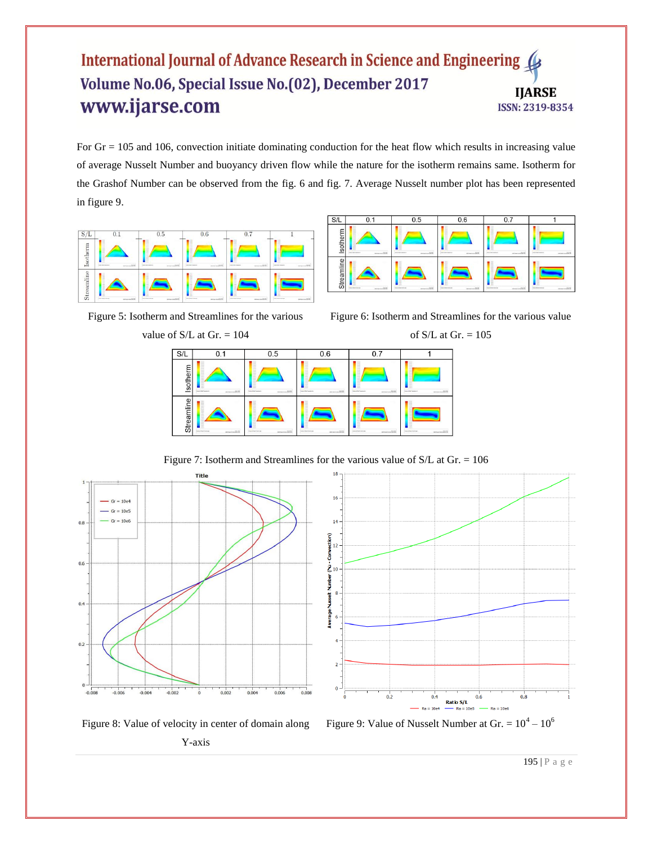For Gr = 105 and 106, convection initiate dominating conduction for the heat flow which results in increasing value of average Nusselt Number and buoyancy driven flow while the nature for the isotherm remains same. Isotherm for the Grashof Number can be observed from the fig. 6 and fig. 7. Average Nusselt number plot has been represented in figure 9.

 $S/L$ 



Figure 5: Isotherm and Streamlines for the various





 $0.5$ 

Figure 6: Isotherm and Streamlines for the various value

```
of S/L at Gr. = 105
```


Figure 7: Isotherm and Streamlines for the various value of S/L at Gr. = 106





Figure 9: Value of Nusselt Number at Gr. =  $10^4 - 10^6$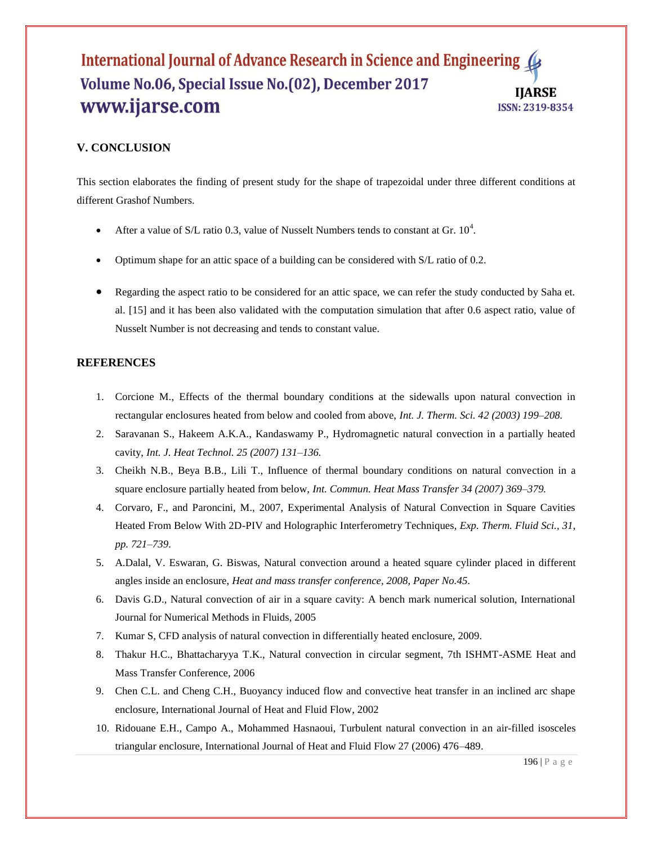# **V. CONCLUSION**

This section elaborates the finding of present study for the shape of trapezoidal under three different conditions at different Grashof Numbers.

- After a value of S/L ratio 0.3, value of Nusselt Numbers tends to constant at Gr.  $10^4$ .
- Optimum shape for an attic space of a building can be considered with S/L ratio of 0.2.
- Regarding the aspect ratio to be considered for an attic space, we can refer the study conducted by Saha et. al. [15] and it has been also validated with the computation simulation that after 0.6 aspect ratio, value of Nusselt Number is not decreasing and tends to constant value.

#### **REFERENCES**

- 1. Corcione M., Effects of the thermal boundary conditions at the sidewalls upon natural convection in rectangular enclosures heated from below and cooled from above, *Int. J. Therm. Sci. 42 (2003) 199–208.*
- 2. Saravanan S., Hakeem A.K.A., Kandaswamy P., Hydromagnetic natural convection in a partially heated cavity, *Int. J. Heat Technol. 25 (2007) 131–136.*
- 3. Cheikh N.B., Beya B.B., Lili T., Influence of thermal boundary conditions on natural convection in a square enclosure partially heated from below, *Int. Commun. Heat Mass Transfer 34 (2007) 369–379.*
- 4. Corvaro, F., and Paroncini, M., 2007, Experimental Analysis of Natural Convection in Square Cavities Heated From Below With 2D-PIV and Holographic Interferometry Techniques, *Exp. Therm. Fluid Sci., 31, pp. 721–739.*
- 5. A.Dalal, V. Eswaran, G. Biswas, Natural convection around a heated square cylinder placed in different angles inside an enclosure, *Heat and mass transfer conference, 2008, Paper No.45.*
- 6. Davis G.D., Natural convection of air in a square cavity: A bench mark numerical solution, International Journal for Numerical Methods in Fluids, 2005
- 7. Kumar S, CFD analysis of natural convection in differentially heated enclosure, 2009.
- 8. Thakur H.C., Bhattacharyya T.K., Natural convection in circular segment, 7th ISHMT-ASME Heat and Mass Transfer Conference, 2006
- 9. Chen C.L. and Cheng C.H., Buoyancy induced flow and convective heat transfer in an inclined arc shape enclosure, [International Journal of Heat and Fluid Flow,](http://www.sciencedirect.com/science/journal/0142727X) 2002
- 10. Ridouane E.H., Campo A., Mohammed Hasnaoui, Turbulent natural convection in an air-filled isosceles triangular enclosure, International Journal of Heat and Fluid Flow 27 (2006) 476–489.